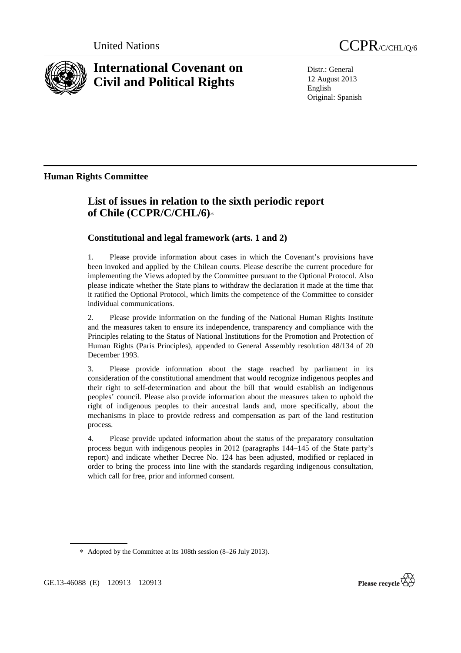



# **International Covenant on Civil and Political Rights**

Distr.: General 12 August 2013 English Original: Spanish

# **Human Rights Committee**

# **List of issues in relation to the sixth periodic report of Chile (CCPR/C/CHL/6)**∗

## **Constitutional and legal framework (arts. 1 and 2)**

1. Please provide information about cases in which the Covenant's provisions have been invoked and applied by the Chilean courts. Please describe the current procedure for implementing the Views adopted by the Committee pursuant to the Optional Protocol. Also please indicate whether the State plans to withdraw the declaration it made at the time that it ratified the Optional Protocol, which limits the competence of the Committee to consider individual communications.

2. Please provide information on the funding of the National Human Rights Institute and the measures taken to ensure its independence, transparency and compliance with the Principles relating to the Status of National Institutions for the Promotion and Protection of Human Rights (Paris Principles), appended to General Assembly resolution 48/134 of 20 December 1993.

3. Please provide information about the stage reached by parliament in its consideration of the constitutional amendment that would recognize indigenous peoples and their right to self-determination and about the bill that would establish an indigenous peoples' council. Please also provide information about the measures taken to uphold the right of indigenous peoples to their ancestral lands and, more specifically, about the mechanisms in place to provide redress and compensation as part of the land restitution process.

4. Please provide updated information about the status of the preparatory consultation process begun with indigenous peoples in 2012 (paragraphs 144–145 of the State party's report) and indicate whether Decree No. 124 has been adjusted, modified or replaced in order to bring the process into line with the standards regarding indigenous consultation, which call for free, prior and informed consent.

∗ Adopted by the Committee at its 108th session (8–26 July 2013).

GE.13-46088 (E) 120913 120913

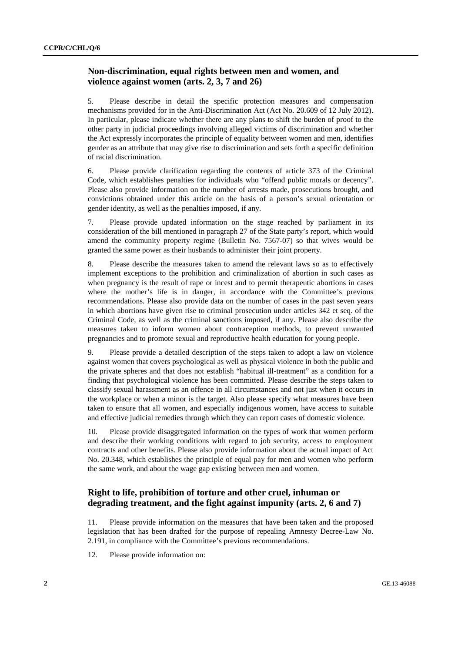#### **Non-discrimination, equal rights between men and women, and violence against women (arts. 2, 3, 7 and 26)**

5. Please describe in detail the specific protection measures and compensation mechanisms provided for in the Anti-Discrimination Act (Act No. 20.609 of 12 July 2012). In particular, please indicate whether there are any plans to shift the burden of proof to the other party in judicial proceedings involving alleged victims of discrimination and whether the Act expressly incorporates the principle of equality between women and men, identifies gender as an attribute that may give rise to discrimination and sets forth a specific definition of racial discrimination.

6. Please provide clarification regarding the contents of article 373 of the Criminal Code, which establishes penalties for individuals who "offend public morals or decency". Please also provide information on the number of arrests made, prosecutions brought, and convictions obtained under this article on the basis of a person's sexual orientation or gender identity, as well as the penalties imposed, if any.

7. Please provide updated information on the stage reached by parliament in its consideration of the bill mentioned in paragraph 27 of the State party's report, which would amend the community property regime (Bulletin No. 7567-07) so that wives would be granted the same power as their husbands to administer their joint property.

8. Please describe the measures taken to amend the relevant laws so as to effectively implement exceptions to the prohibition and criminalization of abortion in such cases as when pregnancy is the result of rape or incest and to permit therapeutic abortions in cases where the mother's life is in danger, in accordance with the Committee's previous recommendations. Please also provide data on the number of cases in the past seven years in which abortions have given rise to criminal prosecution under articles 342 et seq. of the Criminal Code, as well as the criminal sanctions imposed, if any. Please also describe the measures taken to inform women about contraception methods, to prevent unwanted pregnancies and to promote sexual and reproductive health education for young people.

9. Please provide a detailed description of the steps taken to adopt a law on violence against women that covers psychological as well as physical violence in both the public and the private spheres and that does not establish "habitual ill-treatment" as a condition for a finding that psychological violence has been committed. Please describe the steps taken to classify sexual harassment as an offence in all circumstances and not just when it occurs in the workplace or when a minor is the target. Also please specify what measures have been taken to ensure that all women, and especially indigenous women, have access to suitable and effective judicial remedies through which they can report cases of domestic violence.

10. Please provide disaggregated information on the types of work that women perform and describe their working conditions with regard to job security, access to employment contracts and other benefits. Please also provide information about the actual impact of Act No. 20.348, which establishes the principle of equal pay for men and women who perform the same work, and about the wage gap existing between men and women.

### **Right to life, prohibition of torture and other cruel, inhuman or degrading treatment, and the fight against impunity (arts. 2, 6 and 7)**

11. Please provide information on the measures that have been taken and the proposed legislation that has been drafted for the purpose of repealing Amnesty Decree-Law No. 2.191, in compliance with the Committee's previous recommendations.

12. Please provide information on: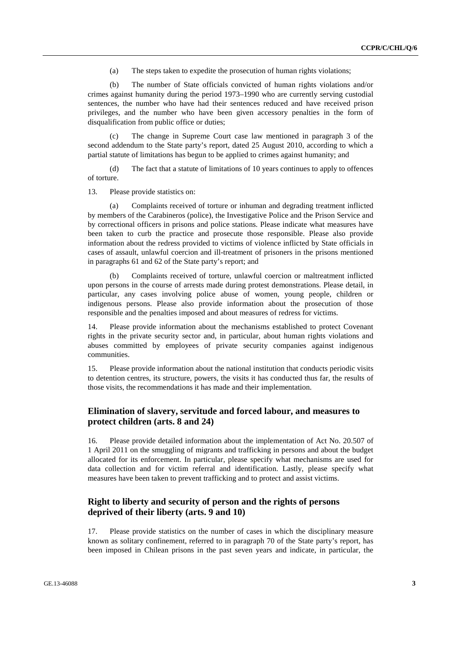(a) The steps taken to expedite the prosecution of human rights violations;

 (b) The number of State officials convicted of human rights violations and/or crimes against humanity during the period 1973–1990 who are currently serving custodial sentences, the number who have had their sentences reduced and have received prison privileges, and the number who have been given accessory penalties in the form of disqualification from public office or duties;

 (c) The change in Supreme Court case law mentioned in paragraph 3 of the second addendum to the State party's report, dated 25 August 2010, according to which a partial statute of limitations has begun to be applied to crimes against humanity; and

 (d) The fact that a statute of limitations of 10 years continues to apply to offences of torture.

13. Please provide statistics on:

 (a) Complaints received of torture or inhuman and degrading treatment inflicted by members of the Carabineros (police), the Investigative Police and the Prison Service and by correctional officers in prisons and police stations. Please indicate what measures have been taken to curb the practice and prosecute those responsible. Please also provide information about the redress provided to victims of violence inflicted by State officials in cases of assault, unlawful coercion and ill-treatment of prisoners in the prisons mentioned in paragraphs 61 and 62 of the State party's report; and

 (b) Complaints received of torture, unlawful coercion or maltreatment inflicted upon persons in the course of arrests made during protest demonstrations. Please detail, in particular, any cases involving police abuse of women, young people, children or indigenous persons. Please also provide information about the prosecution of those responsible and the penalties imposed and about measures of redress for victims.

14. Please provide information about the mechanisms established to protect Covenant rights in the private security sector and, in particular, about human rights violations and abuses committed by employees of private security companies against indigenous communities.

15. Please provide information about the national institution that conducts periodic visits to detention centres, its structure, powers, the visits it has conducted thus far, the results of those visits, the recommendations it has made and their implementation.

#### **Elimination of slavery, servitude and forced labour, and measures to protect children (arts. 8 and 24)**

16. Please provide detailed information about the implementation of Act No. 20.507 of 1 April 2011 on the smuggling of migrants and trafficking in persons and about the budget allocated for its enforcement. In particular, please specify what mechanisms are used for data collection and for victim referral and identification. Lastly, please specify what measures have been taken to prevent trafficking and to protect and assist victims.

#### **Right to liberty and security of person and the rights of persons deprived of their liberty (arts. 9 and 10)**

17. Please provide statistics on the number of cases in which the disciplinary measure known as solitary confinement, referred to in paragraph 70 of the State party's report, has been imposed in Chilean prisons in the past seven years and indicate, in particular, the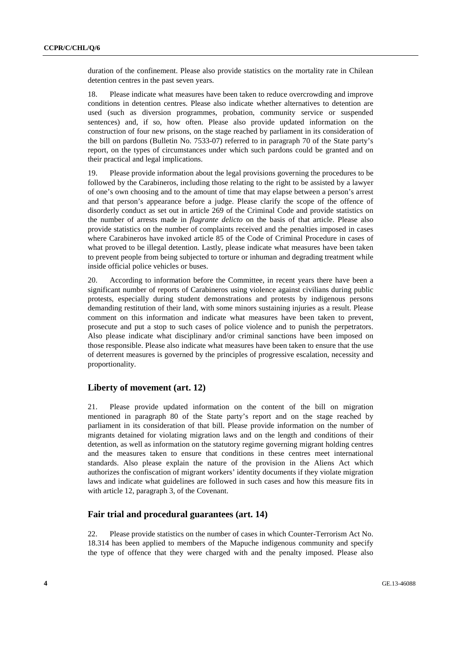duration of the confinement. Please also provide statistics on the mortality rate in Chilean detention centres in the past seven years.

18. Please indicate what measures have been taken to reduce overcrowding and improve conditions in detention centres. Please also indicate whether alternatives to detention are used (such as diversion programmes, probation, community service or suspended sentences) and, if so, how often. Please also provide updated information on the construction of four new prisons, on the stage reached by parliament in its consideration of the bill on pardons (Bulletin No. 7533-07) referred to in paragraph 70 of the State party's report, on the types of circumstances under which such pardons could be granted and on their practical and legal implications.

19. Please provide information about the legal provisions governing the procedures to be followed by the Carabineros, including those relating to the right to be assisted by a lawyer of one's own choosing and to the amount of time that may elapse between a person's arrest and that person's appearance before a judge. Please clarify the scope of the offence of disorderly conduct as set out in article 269 of the Criminal Code and provide statistics on the number of arrests made in *flagrante delicto* on the basis of that article. Please also provide statistics on the number of complaints received and the penalties imposed in cases where Carabineros have invoked article 85 of the Code of Criminal Procedure in cases of what proved to be illegal detention. Lastly, please indicate what measures have been taken to prevent people from being subjected to torture or inhuman and degrading treatment while inside official police vehicles or buses.

20. According to information before the Committee, in recent years there have been a significant number of reports of Carabineros using violence against civilians during public protests, especially during student demonstrations and protests by indigenous persons demanding restitution of their land, with some minors sustaining injuries as a result. Please comment on this information and indicate what measures have been taken to prevent, prosecute and put a stop to such cases of police violence and to punish the perpetrators. Also please indicate what disciplinary and/or criminal sanctions have been imposed on those responsible. Please also indicate what measures have been taken to ensure that the use of deterrent measures is governed by the principles of progressive escalation, necessity and proportionality.

#### **Liberty of movement (art. 12)**

21. Please provide updated information on the content of the bill on migration mentioned in paragraph 80 of the State party's report and on the stage reached by parliament in its consideration of that bill. Please provide information on the number of migrants detained for violating migration laws and on the length and conditions of their detention, as well as information on the statutory regime governing migrant holding centres and the measures taken to ensure that conditions in these centres meet international standards. Also please explain the nature of the provision in the Aliens Act which authorizes the confiscation of migrant workers' identity documents if they violate migration laws and indicate what guidelines are followed in such cases and how this measure fits in with article 12, paragraph 3, of the Covenant.

#### **Fair trial and procedural guarantees (art. 14)**

22. Please provide statistics on the number of cases in which Counter-Terrorism Act No. 18.314 has been applied to members of the Mapuche indigenous community and specify the type of offence that they were charged with and the penalty imposed. Please also